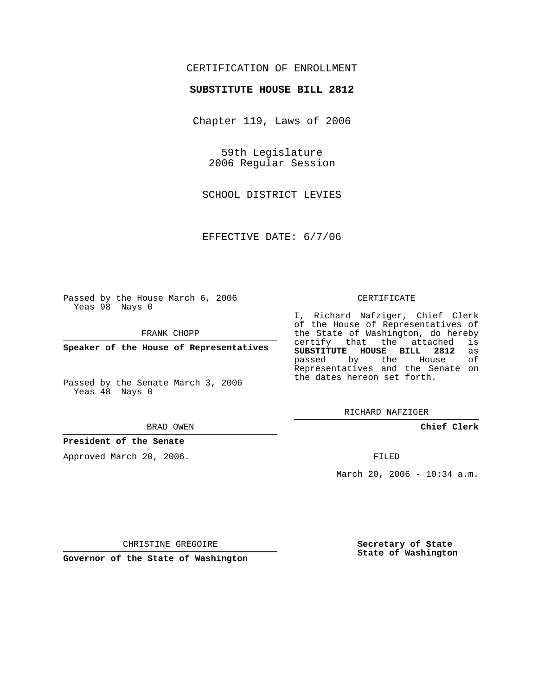## CERTIFICATION OF ENROLLMENT

### **SUBSTITUTE HOUSE BILL 2812**

Chapter 119, Laws of 2006

59th Legislature 2006 Regular Session

SCHOOL DISTRICT LEVIES

EFFECTIVE DATE: 6/7/06

Passed by the House March 6, 2006 Yeas 98 Nays 0

FRANK CHOPP

**Speaker of the House of Representatives**

Passed by the Senate March 3, 2006 Yeas 48 Nays 0

#### BRAD OWEN

## **President of the Senate**

Approved March 20, 2006.

#### CERTIFICATE

I, Richard Nafziger, Chief Clerk of the House of Representatives of the State of Washington, do hereby<br>certify that the attached is certify that the attached **SUBSTITUTE HOUSE BILL 2812** as passed by the House Representatives and the Senate on the dates hereon set forth.

RICHARD NAFZIGER

**Chief Clerk**

FILED

March 20, 2006 - 10:34 a.m.

CHRISTINE GREGOIRE

**Governor of the State of Washington**

**Secretary of State State of Washington**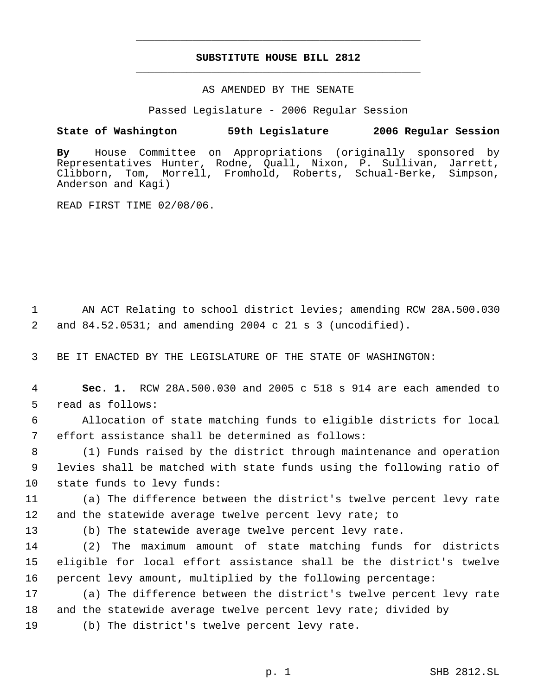# **SUBSTITUTE HOUSE BILL 2812** \_\_\_\_\_\_\_\_\_\_\_\_\_\_\_\_\_\_\_\_\_\_\_\_\_\_\_\_\_\_\_\_\_\_\_\_\_\_\_\_\_\_\_\_\_

\_\_\_\_\_\_\_\_\_\_\_\_\_\_\_\_\_\_\_\_\_\_\_\_\_\_\_\_\_\_\_\_\_\_\_\_\_\_\_\_\_\_\_\_\_

### AS AMENDED BY THE SENATE

Passed Legislature - 2006 Regular Session

# **State of Washington 59th Legislature 2006 Regular Session**

**By** House Committee on Appropriations (originally sponsored by Representatives Hunter, Rodne, Quall, Nixon, P. Sullivan, Jarrett, Clibborn, Tom, Morrell, Fromhold, Roberts, Schual-Berke, Simpson, Anderson and Kagi)

READ FIRST TIME 02/08/06.

 AN ACT Relating to school district levies; amending RCW 28A.500.030 and 84.52.0531; and amending 2004 c 21 s 3 (uncodified).

BE IT ENACTED BY THE LEGISLATURE OF THE STATE OF WASHINGTON:

 **Sec. 1.** RCW 28A.500.030 and 2005 c 518 s 914 are each amended to read as follows:

 Allocation of state matching funds to eligible districts for local effort assistance shall be determined as follows:

 (1) Funds raised by the district through maintenance and operation levies shall be matched with state funds using the following ratio of state funds to levy funds:

 (a) The difference between the district's twelve percent levy rate and the statewide average twelve percent levy rate; to

(b) The statewide average twelve percent levy rate.

 (2) The maximum amount of state matching funds for districts eligible for local effort assistance shall be the district's twelve percent levy amount, multiplied by the following percentage:

 (a) The difference between the district's twelve percent levy rate and the statewide average twelve percent levy rate; divided by

(b) The district's twelve percent levy rate.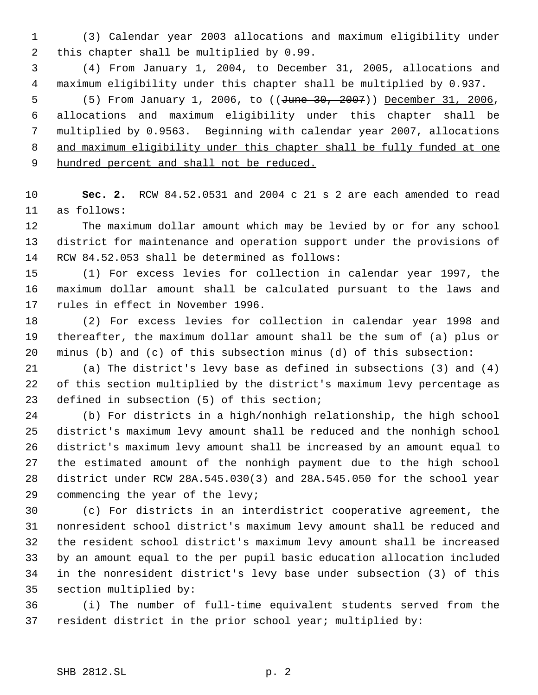(3) Calendar year 2003 allocations and maximum eligibility under this chapter shall be multiplied by 0.99.

 (4) From January 1, 2004, to December 31, 2005, allocations and maximum eligibility under this chapter shall be multiplied by 0.937.

5 (5) From January 1, 2006, to ((<del>June 30, 2007</del>)) December 31, 2006, allocations and maximum eligibility under this chapter shall be multiplied by 0.9563. Beginning with calendar year 2007, allocations and maximum eligibility under this chapter shall be fully funded at one 9 hundred percent and shall not be reduced.

 **Sec. 2.** RCW 84.52.0531 and 2004 c 21 s 2 are each amended to read as follows:

 The maximum dollar amount which may be levied by or for any school district for maintenance and operation support under the provisions of RCW 84.52.053 shall be determined as follows:

 (1) For excess levies for collection in calendar year 1997, the maximum dollar amount shall be calculated pursuant to the laws and rules in effect in November 1996.

 (2) For excess levies for collection in calendar year 1998 and thereafter, the maximum dollar amount shall be the sum of (a) plus or minus (b) and (c) of this subsection minus (d) of this subsection:

 (a) The district's levy base as defined in subsections (3) and (4) of this section multiplied by the district's maximum levy percentage as defined in subsection (5) of this section;

 (b) For districts in a high/nonhigh relationship, the high school district's maximum levy amount shall be reduced and the nonhigh school district's maximum levy amount shall be increased by an amount equal to the estimated amount of the nonhigh payment due to the high school district under RCW 28A.545.030(3) and 28A.545.050 for the school year commencing the year of the levy;

 (c) For districts in an interdistrict cooperative agreement, the nonresident school district's maximum levy amount shall be reduced and the resident school district's maximum levy amount shall be increased by an amount equal to the per pupil basic education allocation included in the nonresident district's levy base under subsection (3) of this section multiplied by:

 (i) The number of full-time equivalent students served from the resident district in the prior school year; multiplied by: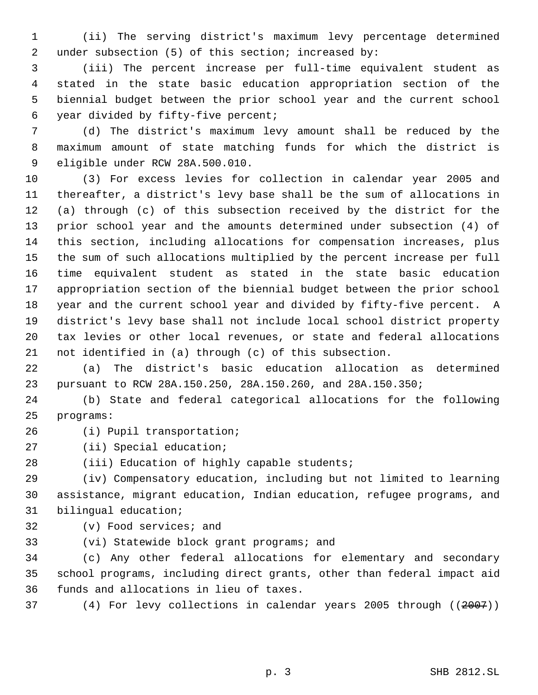(ii) The serving district's maximum levy percentage determined 2 under subsection (5) of this section; increased by:

 (iii) The percent increase per full-time equivalent student as stated in the state basic education appropriation section of the biennial budget between the prior school year and the current school year divided by fifty-five percent;

 (d) The district's maximum levy amount shall be reduced by the maximum amount of state matching funds for which the district is eligible under RCW 28A.500.010.

 (3) For excess levies for collection in calendar year 2005 and thereafter, a district's levy base shall be the sum of allocations in (a) through (c) of this subsection received by the district for the prior school year and the amounts determined under subsection (4) of this section, including allocations for compensation increases, plus the sum of such allocations multiplied by the percent increase per full time equivalent student as stated in the state basic education appropriation section of the biennial budget between the prior school year and the current school year and divided by fifty-five percent. A district's levy base shall not include local school district property tax levies or other local revenues, or state and federal allocations not identified in (a) through (c) of this subsection.

 (a) The district's basic education allocation as determined pursuant to RCW 28A.150.250, 28A.150.260, and 28A.150.350;

 (b) State and federal categorical allocations for the following programs:

- (i) Pupil transportation;
- (ii) Special education;

(iii) Education of highly capable students;

 (iv) Compensatory education, including but not limited to learning assistance, migrant education, Indian education, refugee programs, and bilingual education;

- (v) Food services; and
- (vi) Statewide block grant programs; and

 (c) Any other federal allocations for elementary and secondary school programs, including direct grants, other than federal impact aid funds and allocations in lieu of taxes.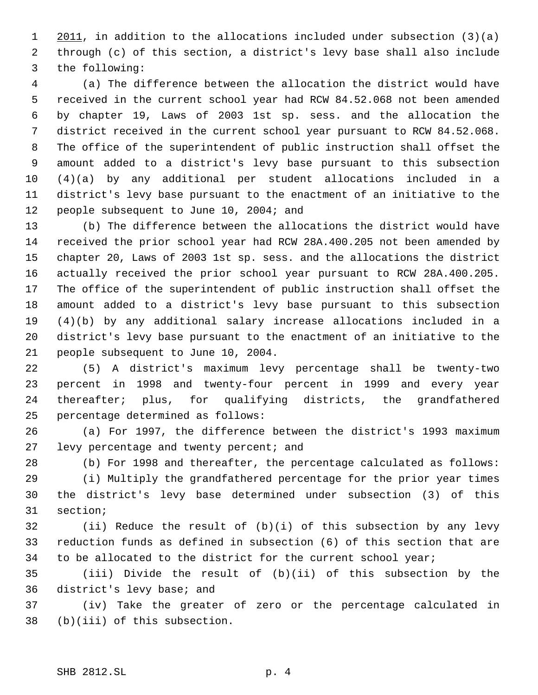1 2011, in addition to the allocations included under subsection (3)(a) through (c) of this section, a district's levy base shall also include the following:

 (a) The difference between the allocation the district would have received in the current school year had RCW 84.52.068 not been amended by chapter 19, Laws of 2003 1st sp. sess. and the allocation the district received in the current school year pursuant to RCW 84.52.068. The office of the superintendent of public instruction shall offset the amount added to a district's levy base pursuant to this subsection (4)(a) by any additional per student allocations included in a district's levy base pursuant to the enactment of an initiative to the 12 people subsequent to June 10, 2004; and

 (b) The difference between the allocations the district would have received the prior school year had RCW 28A.400.205 not been amended by chapter 20, Laws of 2003 1st sp. sess. and the allocations the district actually received the prior school year pursuant to RCW 28A.400.205. The office of the superintendent of public instruction shall offset the amount added to a district's levy base pursuant to this subsection (4)(b) by any additional salary increase allocations included in a district's levy base pursuant to the enactment of an initiative to the people subsequent to June 10, 2004.

 (5) A district's maximum levy percentage shall be twenty-two percent in 1998 and twenty-four percent in 1999 and every year thereafter; plus, for qualifying districts, the grandfathered percentage determined as follows:

 (a) For 1997, the difference between the district's 1993 maximum 27 levy percentage and twenty percent; and

(b) For 1998 and thereafter, the percentage calculated as follows:

 (i) Multiply the grandfathered percentage for the prior year times the district's levy base determined under subsection (3) of this section;

 (ii) Reduce the result of (b)(i) of this subsection by any levy reduction funds as defined in subsection (6) of this section that are to be allocated to the district for the current school year;

 (iii) Divide the result of (b)(ii) of this subsection by the district's levy base; and

 (iv) Take the greater of zero or the percentage calculated in (b)(iii) of this subsection.